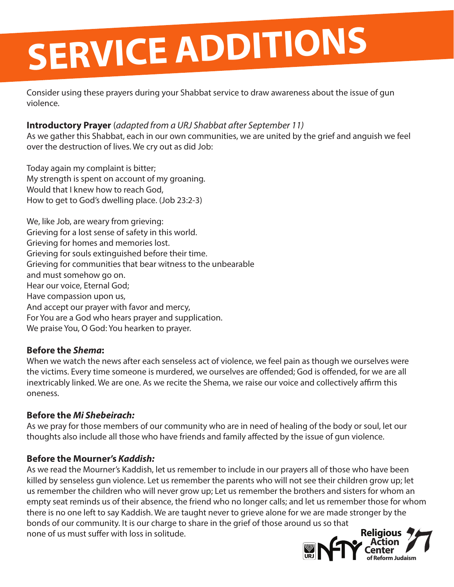# **SERVICE ADDITIONS**

Consider using these prayers during your Shabbat service to draw awareness about the issue of gun violence.

### **Introductory Prayer** (*adapted from a URJ Shabbat after September 11)*

As we gather this Shabbat, each in our own communities, we are united by the grief and anguish we feel over the destruction of lives. We cry out as did Job:

Today again my complaint is bitter; My strength is spent on account of my groaning. Would that I knew how to reach God, How to get to God's dwelling place. (Job 23:2-3)

We, like Job, are weary from grieving: Grieving for a lost sense of safety in this world. Grieving for homes and memories lost. Grieving for souls extinguished before their time. Grieving for communities that bear witness to the unbearable and must somehow go on. Hear our voice, Eternal God; Have compassion upon us, And accept our prayer with favor and mercy, For You are a God who hears prayer and supplication. We praise You, O God: You hearken to prayer.

### **Before the** *Shema***:**

When we watch the news after each senseless act of violence, we feel pain as though we ourselves were the victims. Every time someone is murdered, we ourselves are offended; God is offended, for we are all inextricably linked. We are one. As we recite the Shema, we raise our voice and collectively affirm this oneness.

### **Before the** *Mi Shebeirach:*

As we pray for those members of our community who are in need of healing of the body or soul, let our thoughts also include all those who have friends and family affected by the issue of gun violence.

### **Before the Mourner's** *Kaddish:*

**Religious** As we read the Mourner's Kaddish, let us remember to include in our prayers all of those who have been killed by senseless gun violence. Let us remember the parents who will not see their children grow up; let us remember the children who will never grow up; Let us remember the brothers and sisters for whom an empty seat reminds us of their absence, the friend who no longer calls; and let us remember those for whom there is no one left to say Kaddish. We are taught never to grieve alone for we are made stronger by the bonds of our community. It is our charge to share in the grief of those around us so that none of us must suffer with loss in solitude.

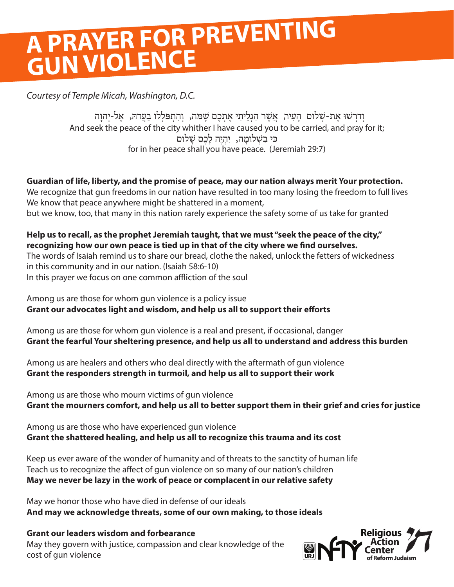### **A PRAYER FOR PREVENTING GUN VIOLENCE**

*Courtesy of Temple Micah, Washington, D.C.*

And seek the peace of the city whither I have caused you to be carried, and pray for it; for in her peace shall you have peace. (Jeremiah 29:7) וְדרְשׁוּ אֶת-שָׁלום הָעִיר, אֲשֶׁר הִגְלֵיתִי אֶתְבֶם שָׁמה, וְהִתְפּלְלו בַעֲדהּ, אֵל-יְהוָה ּכּי בִשָׁלומַה, יִהְיָה לַכֶם שַׁלום

**Guardian of life, liberty, and the promise of peace, may our nation always merit Your protection.** We recognize that gun freedoms in our nation have resulted in too many losing the freedom to full lives We know that peace anywhere might be shattered in a moment, but we know, too, that many in this nation rarely experience the safety some of us take for granted

**Help us to recall, as the prophet Jeremiah taught, that we must "seek the peace of the city," recognizing how our own peace is tied up in that of the city where we find ourselves.** The words of Isaiah remind us to share our bread, clothe the naked, unlock the fetters of wickedness in this community and in our nation. (Isaiah 58:6-10) In this prayer we focus on one common affliction of the soul

Among us are those for whom gun violence is a policy issue **Grant our advocates light and wisdom, and help us all to support their efforts**

Among us are those for whom gun violence is a real and present, if occasional, danger **Grant the fearful Your sheltering presence, and help us all to understand and address this burden**

Among us are healers and others who deal directly with the aftermath of gun violence **Grant the responders strength in turmoil, and help us all to support their work**

Among us are those who mourn victims of gun violence **Grant the mourners comfort, and help us all to better support them in their grief and cries for justice**

Among us are those who have experienced gun violence **Grant the shattered healing, and help us all to recognize this trauma and its cost**

Keep us ever aware of the wonder of humanity and of threats to the sanctity of human life Teach us to recognize the affect of gun violence on so many of our nation's children **May we never be lazy in the work of peace or complacent in our relative safety**

May we honor those who have died in defense of our ideals **And may we acknowledge threats, some of our own making, to those ideals**

### **Grant our leaders wisdom and forbearance**

May they govern with justice, compassion and clear knowledge of the cost of gun violence

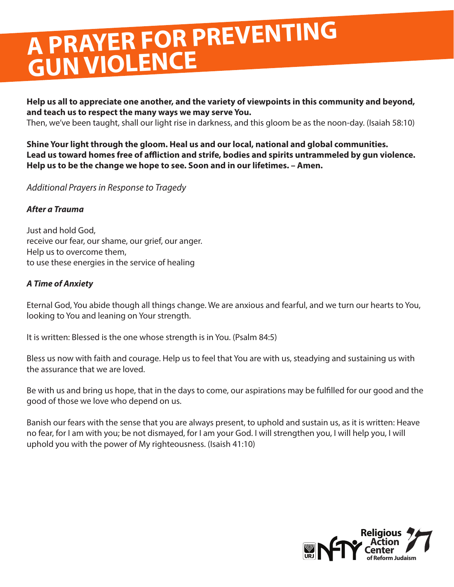### **A PRAYER FOR PREVENTING GUN VIOLENCE**

**Help us all to appreciate one another, and the variety of viewpoints in this community and beyond, and teach us to respect the many ways we may serve You.**

Then, we've been taught, shall our light rise in darkness, and this gloom be as the noon-day. (Isaiah 58:10)

### **Shine Your light through the gloom. Heal us and our local, national and global communities. Lead us toward homes free of affliction and strife, bodies and spirits untrammeled by gun violence. Help us to be the change we hope to see. Soon and in our lifetimes. – Amen.**

*Additional Prayers in Response to Tragedy*

### *After a Trauma*

Just and hold God, receive our fear, our shame, our grief, our anger. Help us to overcome them, to use these energies in the service of healing

### *A Time of Anxiety*

Eternal God, You abide though all things change. We are anxious and fearful, and we turn our hearts to You, looking to You and leaning on Your strength.

It is written: Blessed is the one whose strength is in You. (Psalm 84:5)

Bless us now with faith and courage. Help us to feel that You are with us, steadying and sustaining us with the assurance that we are loved.

Be with us and bring us hope, that in the days to come, our aspirations may be fulfilled for our good and the good of those we love who depend on us.

Banish our fears with the sense that you are always present, to uphold and sustain us, as it is written: Heave no fear, for I am with you; be not dismayed, for I am your God. I will strengthen you, I will help you, I will uphold you with the power of My righteousness. (Isaish 41:10)

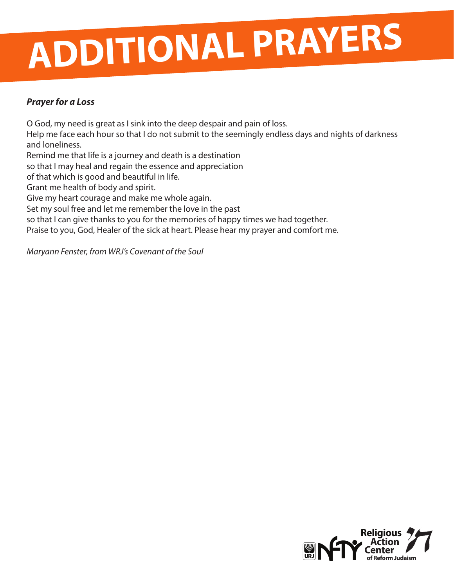# **ADDITIONAL PRAYERS**

### *Prayer for a Loss*

O God, my need is great as I sink into the deep despair and pain of loss. Help me face each hour so that I do not submit to the seemingly endless days and nights of darkness and loneliness. Remind me that life is a journey and death is a destination so that I may heal and regain the essence and appreciation of that which is good and beautiful in life. Grant me health of body and spirit. Give my heart courage and make me whole again. Set my soul free and let me remember the love in the past so that I can give thanks to you for the memories of happy times we had together. Praise to you, God, Healer of the sick at heart. Please hear my prayer and comfort me.

*Maryann Fenster, from WRJ's Covenant of the Soul*